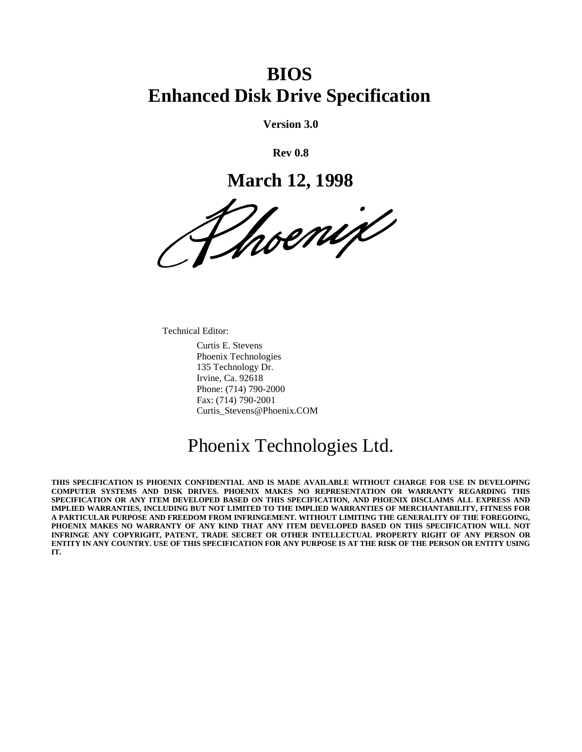# **BIOS Enhanced Disk Drive Specification**

**Version 3.0**

**Rev 0.8**

**March 12, 1998**

Vhoenix

Technical Editor:

Curtis E. Stevens Phoenix Technologies 135 Technology Dr. Irvine, Ca. 92618 Phone: (714) 790-2000 Fax: (714) 790-2001 Curtis\_Stevens@Phoenix.COM

# Phoenix Technologies Ltd.

**THIS SPECIFICATION IS PHOENIX CONFIDENTIAL AND IS MADE AVAILABLE WITHOUT CHARGE FOR USE IN DEVELOPING COMPUTER SYSTEMS AND DISK DRIVES. PHOENIX MAKES NO REPRESENTATION OR WARRANTY REGARDING THIS SPECIFICATION OR ANY ITEM DEVELOPED BASED ON THIS SPECIFICATION, AND PHOENIX DISCLAIMS ALL EXPRESS AND IMPLIED WARRANTIES, INCLUDING BUT NOT LIMITED TO THE IMPLIED WARRANTIES OF MERCHANTABILITY, FITNESS FOR A PARTICULAR PURPOSE AND FREEDOM FROM INFRINGEMENT. WITHOUT LIMITING THE GENERALITY OF THE FOREGOING, PHOENIX MAKES NO WARRANTY OF ANY KIND THAT ANY ITEM DEVELOPED BASED ON THIS SPECIFICATION WILL NOT INFRINGE ANY COPYRIGHT, PATENT, TRADE SECRET OR OTHER INTELLECTUAL PROPERTY RIGHT OF ANY PERSON OR ENTITY IN ANY COUNTRY. USE OF THIS SPECIFICATION FOR ANY PURPOSE IS AT THE RISK OF THE PERSON OR ENTITY USING IT.**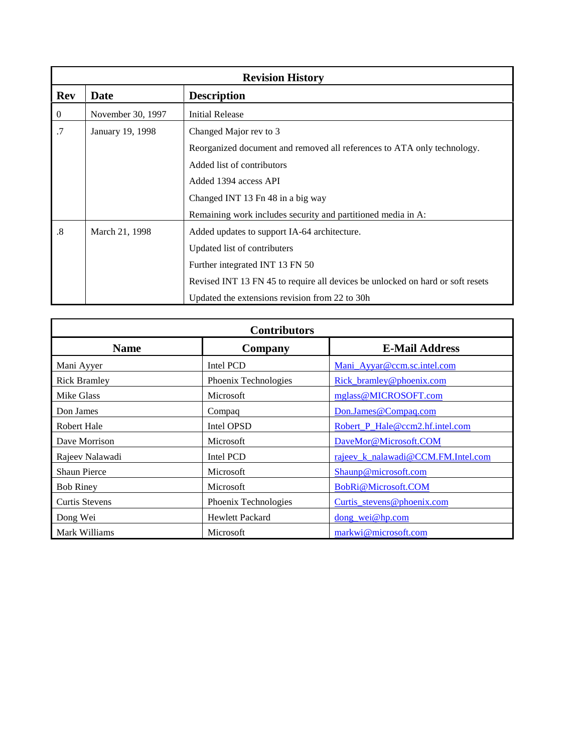|                   |                   | <b>Revision History</b>                                                        |
|-------------------|-------------------|--------------------------------------------------------------------------------|
| <b>Rev</b>        | <b>Date</b>       | <b>Description</b>                                                             |
| $\overline{0}$    | November 30, 1997 | <b>Initial Release</b>                                                         |
| .7                | January 19, 1998  | Changed Major rev to 3                                                         |
|                   |                   | Reorganized document and removed all references to ATA only technology.        |
|                   |                   | Added list of contributors                                                     |
|                   |                   | Added 1394 access API                                                          |
|                   |                   | Changed INT 13 Fn 48 in a big way                                              |
|                   |                   | Remaining work includes security and partitioned media in A:                   |
| $\boldsymbol{.8}$ | March 21, 1998    | Added updates to support IA-64 architecture.                                   |
|                   |                   | Updated list of contributers                                                   |
|                   |                   | Further integrated INT 13 FN 50                                                |
|                   |                   | Revised INT 13 FN 45 to require all devices be unlocked on hard or soft resets |
|                   |                   | Updated the extensions revision from 22 to 30h                                 |

|                       | <b>Contributors</b>    |                                    |
|-----------------------|------------------------|------------------------------------|
| <b>Name</b>           | Company                | <b>E-Mail Address</b>              |
| Mani Ayyer            | Intel PCD              | Mani Ayyar@ccm.sc.intel.com        |
| <b>Rick Bramley</b>   | Phoenix Technologies   | Rick_bramley@phoenix.com           |
| Mike Glass            | <b>Microsoft</b>       | mglass@MICROSOFT.com               |
| Don James             | Compaq                 | Don.James@Compaq.com               |
| <b>Robert Hale</b>    | Intel OPSD             | Robert_P_Hale@ccm2.hf.intel.com    |
| Dave Morrison         | Microsoft              | DaveMor@Microsoft.COM              |
| Rajeev Nalawadi       | Intel PCD              | rajeev_k_nalawadi@CCM.FM.Intel.com |
| <b>Shaun Pierce</b>   | Microsoft              | Shaunp@microsoft.com               |
| <b>Bob Riney</b>      | Microsoft              | BobRi@Microsoft.COM                |
| <b>Curtis Stevens</b> | Phoenix Technologies   | Curtis_stevens@phoenix.com         |
| Dong Wei              | <b>Hewlett Packard</b> | dong_wei@hp.com                    |
| Mark Williams         | Microsoft              | markwi@microsoft.com               |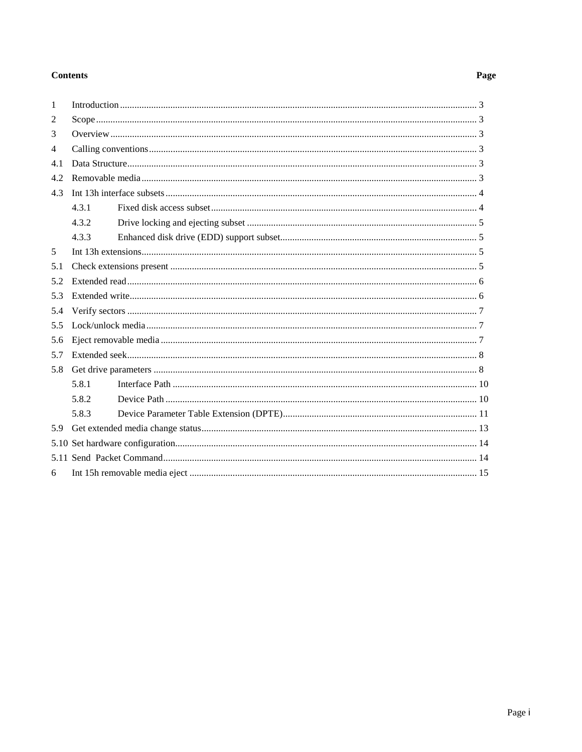#### **Contents**

#### $\mathbf{1}$  $\overline{2}$ 3  $\Delta$  $4.1$  $42$  $4.3.1$  $4.3.2$  $4.3.3$ 5 52  $53$ 5.4  $5.5$ 5.6 5.7 5.8.1 5.8.2 5.8.3 6

#### Page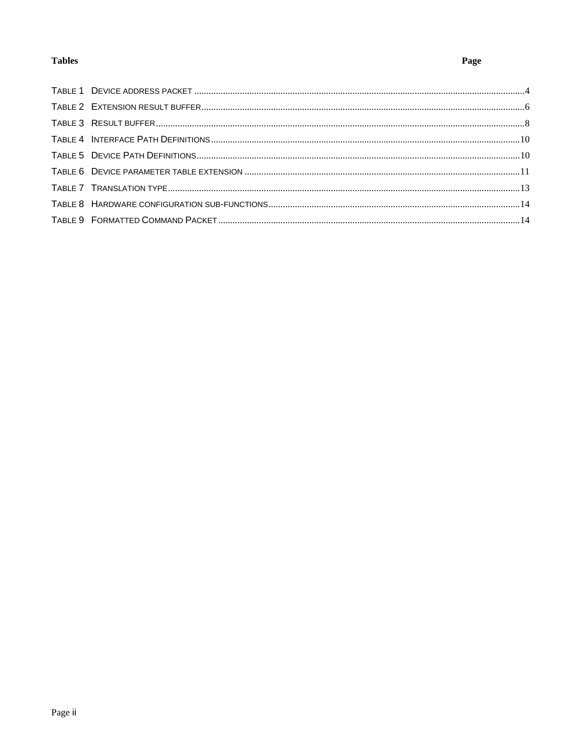## **Tables**

## Page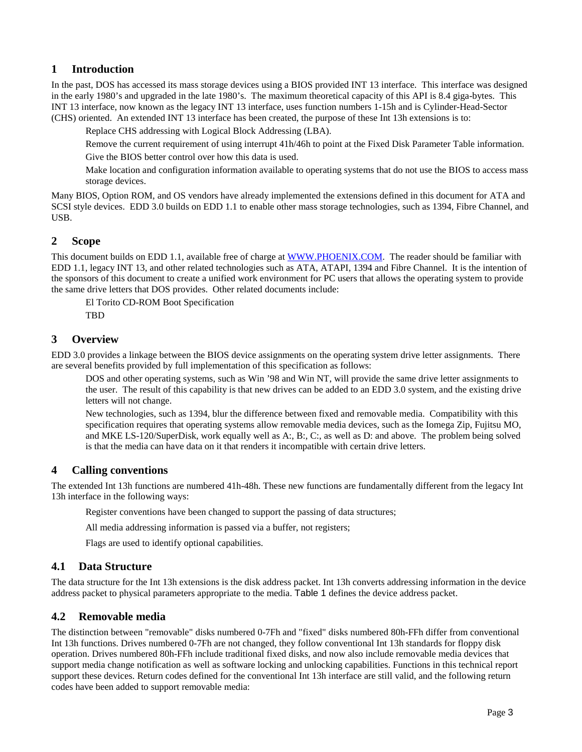## **1 Introduction**

In the past, DOS has accessed its mass storage devices using a BIOS provided INT 13 interface. This interface was designed in the early 1980's and upgraded in the late 1980's. The maximum theoretical capacity of this API is 8.4 giga-bytes. This INT 13 interface, now known as the legacy INT 13 interface, uses function numbers 1-15h and is Cylinder-Head-Sector (CHS) oriented. An extended INT 13 interface has been created, the purpose of these Int 13h extensions is to:

Replace CHS addressing with Logical Block Addressing (LBA).

Remove the current requirement of using interrupt 41h/46h to point at the Fixed Disk Parameter Table information.

Give the BIOS better control over how this data is used.

Make location and configuration information available to operating systems that do not use the BIOS to access mass storage devices.

Many BIOS, Option ROM, and OS vendors have already implemented the extensions defined in this document for ATA and SCSI style devices. EDD 3.0 builds on EDD 1.1 to enable other mass storage technologies, such as 1394, Fibre Channel, and USB.

## **2 Scope**

This document builds on EDD 1.1, available free of charge at WWW.PHOENIX.COM. The reader should be familiar with EDD 1.1, legacy INT 13, and other related technologies such as ATA, ATAPI, 1394 and Fibre Channel. It is the intention of the sponsors of this document to create a unified work environment for PC users that allows the operating system to provide the same drive letters that DOS provides. Other related documents include:

El Torito CD-ROM Boot Specification

TBD

### **3 Overview**

EDD 3.0 provides a linkage between the BIOS device assignments on the operating system drive letter assignments. There are several benefits provided by full implementation of this specification as follows:

DOS and other operating systems, such as Win '98 and Win NT, will provide the same drive letter assignments to the user. The result of this capability is that new drives can be added to an EDD 3.0 system, and the existing drive letters will not change.

New technologies, such as 1394, blur the difference between fixed and removable media. Compatibility with this specification requires that operating systems allow removable media devices, such as the Iomega Zip, Fujitsu MO, and MKE LS-120/SuperDisk, work equally well as A:, B:, C:, as well as D: and above. The problem being solved is that the media can have data on it that renders it incompatible with certain drive letters.

## **4 Calling conventions**

The extended Int 13h functions are numbered 41h-48h. These new functions are fundamentally different from the legacy Int 13h interface in the following ways:

Register conventions have been changed to support the passing of data structures;

All media addressing information is passed via a buffer, not registers;

Flags are used to identify optional capabilities.

### **4.1 Data Structure**

The data structure for the Int 13h extensions is the disk address packet. Int 13h converts addressing information in the device address packet to physical parameters appropriate to the media. Table 1 defines the device address packet.

## **4.2 Removable media**

The distinction between "removable" disks numbered 0-7Fh and "fixed" disks numbered 80h-FFh differ from conventional Int 13h functions. Drives numbered 0-7Fh are not changed, they follow conventional Int 13h standards for floppy disk operation. Drives numbered 80h-FFh include traditional fixed disks, and now also include removable media devices that support media change notification as well as software locking and unlocking capabilities. Functions in this technical report support these devices. Return codes defined for the conventional Int 13h interface are still valid, and the following return codes have been added to support removable media: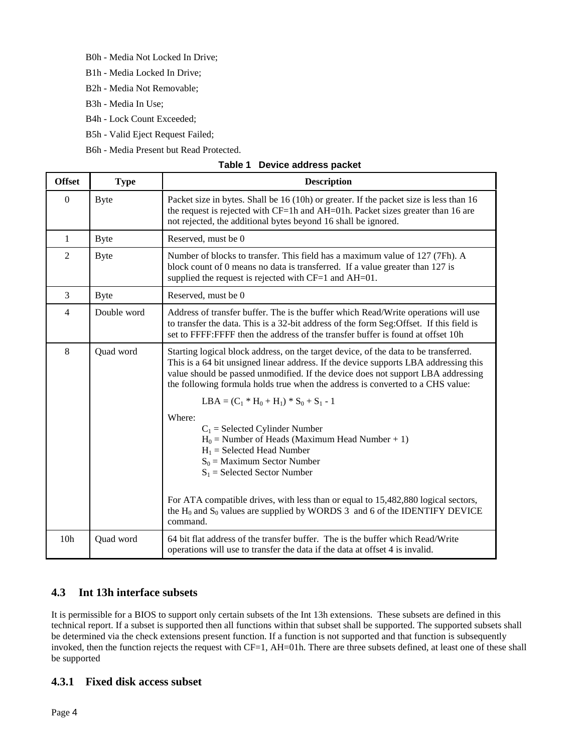- B0h Media Not Locked In Drive;
- B1h Media Locked In Drive;
- B2h Media Not Removable;
- B3h Media In Use;
- B4h Lock Count Exceeded;
- B5h Valid Eject Request Failed;
- B6h Media Present but Read Protected.

| <b>Offset</b>    | <b>Type</b> | <b>Description</b>                                                                                                                                                                                                                                                                                                                                 |
|------------------|-------------|----------------------------------------------------------------------------------------------------------------------------------------------------------------------------------------------------------------------------------------------------------------------------------------------------------------------------------------------------|
| $\boldsymbol{0}$ | <b>Byte</b> | Packet size in bytes. Shall be 16 (10h) or greater. If the packet size is less than 16<br>the request is rejected with CF=1h and AH=01h. Packet sizes greater than 16 are<br>not rejected, the additional bytes beyond 16 shall be ignored.                                                                                                        |
| 1                | <b>Byte</b> | Reserved, must be 0                                                                                                                                                                                                                                                                                                                                |
| $\overline{c}$   | <b>Byte</b> | Number of blocks to transfer. This field has a maximum value of 127 (7Fh). A<br>block count of 0 means no data is transferred. If a value greater than 127 is<br>supplied the request is rejected with CF=1 and AH=01.                                                                                                                             |
| 3                | <b>Byte</b> | Reserved, must be 0                                                                                                                                                                                                                                                                                                                                |
| $\overline{4}$   | Double word | Address of transfer buffer. The is the buffer which Read/Write operations will use<br>to transfer the data. This is a 32-bit address of the form Seg:Offset. If this field is<br>set to FFFF: FFFF then the address of the transfer buffer is found at offset 10h                                                                                  |
| 8                | Quad word   | Starting logical block address, on the target device, of the data to be transferred.<br>This is a 64 bit unsigned linear address. If the device supports LBA addressing this<br>value should be passed unmodified. If the device does not support LBA addressing<br>the following formula holds true when the address is converted to a CHS value: |
|                  |             | $LBA = (C_1 * H_0 + H_1) * S_0 + S_1 - 1$                                                                                                                                                                                                                                                                                                          |
|                  |             | Where:<br>$C_1$ = Selected Cylinder Number<br>$H_0$ = Number of Heads (Maximum Head Number + 1)<br>$H_1$ = Selected Head Number<br>$S_0$ = Maximum Sector Number<br>$S_1$ = Selected Sector Number                                                                                                                                                 |
|                  |             | For ATA compatible drives, with less than or equal to 15,482,880 logical sectors,<br>the $H_0$ and $S_0$ values are supplied by WORDS 3 and 6 of the IDENTIFY DEVICE<br>command.                                                                                                                                                                   |
| 10 <sub>h</sub>  | Quad word   | 64 bit flat address of the transfer buffer. The is the buffer which Read/Write<br>operations will use to transfer the data if the data at offset 4 is invalid.                                                                                                                                                                                     |

#### **Table 1 Device address packet**

## **4.3 Int 13h interface subsets**

It is permissible for a BIOS to support only certain subsets of the Int 13h extensions. These subsets are defined in this technical report. If a subset is supported then all functions within that subset shall be supported. The supported subsets shall be determined via the check extensions present function. If a function is not supported and that function is subsequently invoked, then the function rejects the request with CF=1, AH=01h. There are three subsets defined, at least one of these shall be supported

## **4.3.1 Fixed disk access subset**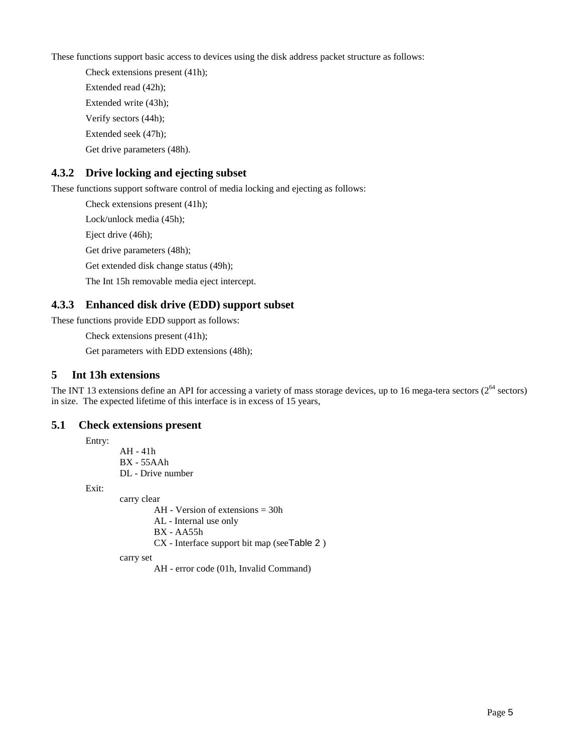These functions support basic access to devices using the disk address packet structure as follows:

Check extensions present (41h); Extended read (42h); Extended write (43h); Verify sectors (44h); Extended seek (47h); Get drive parameters (48h).

## **4.3.2 Drive locking and ejecting subset**

These functions support software control of media locking and ejecting as follows:

Check extensions present (41h);

Lock/unlock media (45h);

Eject drive (46h);

Get drive parameters (48h);

Get extended disk change status (49h);

The Int 15h removable media eject intercept.

## **4.3.3 Enhanced disk drive (EDD) support subset**

These functions provide EDD support as follows:

Check extensions present (41h);

Get parameters with EDD extensions (48h);

## **5 Int 13h extensions**

The INT 13 extensions define an API for accessing a variety of mass storage devices, up to 16 mega-tera sectors  $(2^{64}$  sectors) in size. The expected lifetime of this interface is in excess of 15 years,

### **5.1 Check extensions present**

Entry:

AH - 41h BX - 55AAh DL - Drive number

Exit:

carry clear

AH - Version of extensions = 30h

AL - Internal use only

BX - AA55h

CX - Interface support bit map (seeTable 2 )

carry set

AH - error code (01h, Invalid Command)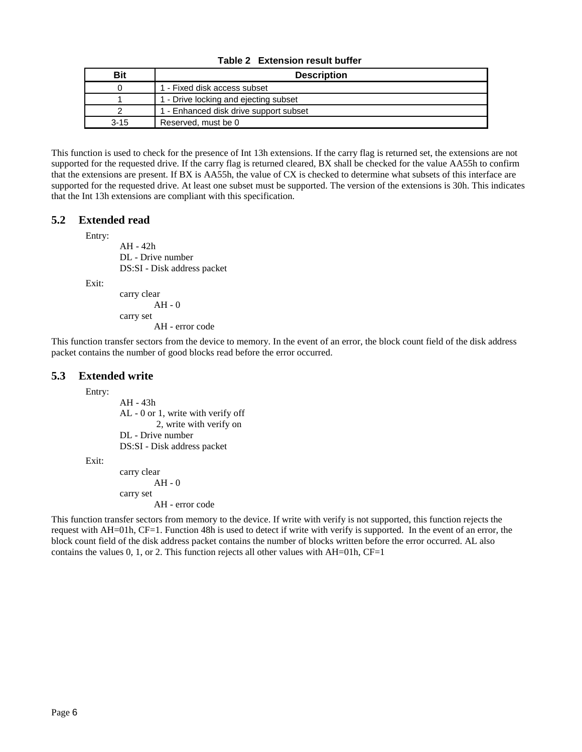|  | Table 2 Extension result buffer |  |  |
|--|---------------------------------|--|--|
|--|---------------------------------|--|--|

| Bit      | <b>Description</b>                     |
|----------|----------------------------------------|
|          | 1 - Fixed disk access subset           |
|          | 1 - Drive locking and ejecting subset  |
|          | 1 - Enhanced disk drive support subset |
| $3 - 15$ | Reserved, must be 0                    |

This function is used to check for the presence of Int 13h extensions. If the carry flag is returned set, the extensions are not supported for the requested drive. If the carry flag is returned cleared, BX shall be checked for the value AA55h to confirm that the extensions are present. If BX is AA55h, the value of CX is checked to determine what subsets of this interface are supported for the requested drive. At least one subset must be supported. The version of the extensions is 30h. This indicates that the Int 13h extensions are compliant with this specification.

### **5.2 Extended read**

Entry:

AH - 42h DL - Drive number DS:SI - Disk address packet

Exit:

```
carry clear
        AH - 0carry set
        AH - error code
```
This function transfer sectors from the device to memory. In the event of an error, the block count field of the disk address packet contains the number of good blocks read before the error occurred.

#### **5.3 Extended write**

Entry:

AH - 43h AL - 0 or 1, write with verify off 2, write with verify on DL - Drive number DS:SI - Disk address packet

Exit:

carry clear AH - 0 carry set AH - error code

This function transfer sectors from memory to the device. If write with verify is not supported, this function rejects the request with AH=01h, CF=1. Function 48h is used to detect if write with verify is supported. In the event of an error, the block count field of the disk address packet contains the number of blocks written before the error occurred. AL also contains the values  $0, 1,$  or  $2$ . This function rejects all other values with AH=01h, CF=1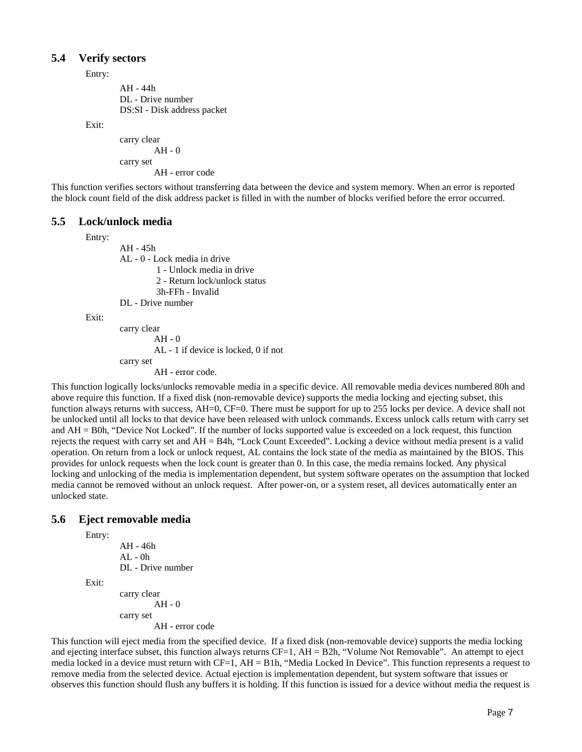#### **5.4 Verify sectors**

Entry:

AH - 44h DL - Drive number DS:SI - Disk address packet

Exit:

```
carry clear
         AH - 0
carry set
         AH - error code
```
This function verifies sectors without transferring data between the device and system memory. When an error is reported the block count field of the disk address packet is filled in with the number of blocks verified before the error occurred.

#### **5.5 Lock/unlock media**

Entry:

AH - 45h AL - 0 - Lock media in drive 1 - Unlock media in drive 2 - Return lock/unlock status 3h-FFh - Invalid DL - Drive number

Exit:

```
carry clear
         AH - 0AL - 1 if device is locked, 0 if not
carry set
         AH - error code.
```
This function logically locks/unlocks removable media in a specific device. All removable media devices numbered 80h and above require this function. If a fixed disk (non-removable device) supports the media locking and ejecting subset, this function always returns with success, AH=0, CF=0. There must be support for up to 255 locks per device. A device shall not be unlocked until all locks to that device have been released with unlock commands. Excess unlock calls return with carry set and AH = B0h, "Device Not Locked". If the number of locks supported value is exceeded on a lock request, this function rejects the request with carry set and AH = B4h, "Lock Count Exceeded". Locking a device without media present is a valid operation. On return from a lock or unlock request, AL contains the lock state of the media as maintained by the BIOS. This provides for unlock requests when the lock count is greater than 0. In this case, the media remains locked. Any physical locking and unlocking of the media is implementation dependent, but system software operates on the assumption that locked media cannot be removed without an unlock request. After power-on, or a system reset, all devices automatically enter an unlocked state.

### **5.6 Eject removable media**

Entry:

Exit:

```
AH - 46h
AI - OhDL - Drive number
```
carry clear  $AH - 0$ carry set AH - error code

This function will eject media from the specified device. If a fixed disk (non-removable device) supports the media locking and ejecting interface subset, this function always returns CF=1, AH = B2h, "Volume Not Removable". An attempt to eject media locked in a device must return with CF=1, AH = B1h, "Media Locked In Device". This function represents a request to remove media from the selected device. Actual ejection is implementation dependent, but system software that issues or observes this function should flush any buffers it is holding. If this function is issued for a device without media the request is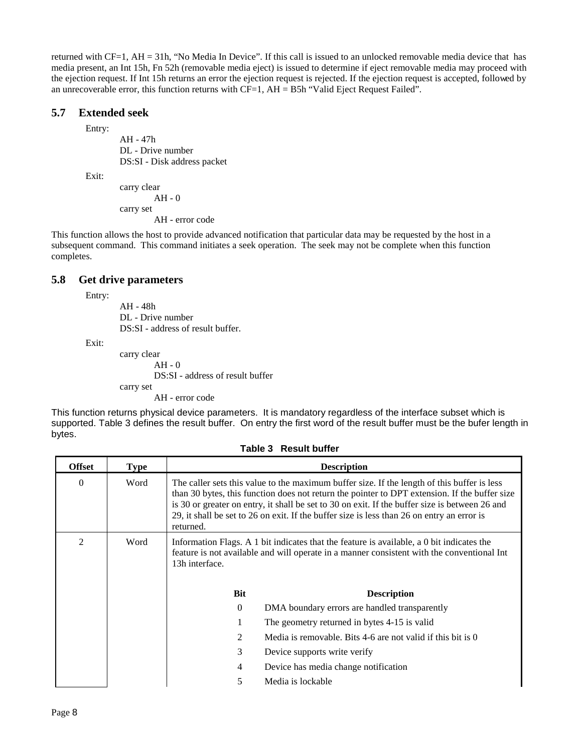returned with CF=1, AH = 31h, "No Media In Device". If this call is issued to an unlocked removable media device that has media present, an Int 15h, Fn 52h (removable media eject) is issued to determine if eject removable media may proceed with the ejection request. If Int 15h returns an error the ejection request is rejected. If the ejection request is accepted, followed by an unrecoverable error, this function returns with  $CF=1$ ,  $AH = B5h$  "Valid Eject Request Failed".

## **5.7 Extended seek**

Entry:

AH - 47h DL - Drive number DS:SI - Disk address packet

Exit:

carry clear AH - 0 carry set AH - error code

This function allows the host to provide advanced notification that particular data may be requested by the host in a subsequent command. This command initiates a seek operation. The seek may not be complete when this function completes.

## **5.8 Get drive parameters**

Entry:

AH - 48h DL - Drive number DS:SI - address of result buffer.

Exit:

carry clear AH - 0 DS:SI - address of result buffer carry set AH - error code

This function returns physical device parameters. It is mandatory regardless of the interface subset which is supported. Table 3 defines the result buffer. On entry the first word of the result buffer must be the bufer length in bytes.

| <b>Offset</b>  | <b>Type</b> |                                                                                                                                                                                                                                                                                                                                                                                                           | <b>Description</b>                                                                                                                                                                      |  |
|----------------|-------------|-----------------------------------------------------------------------------------------------------------------------------------------------------------------------------------------------------------------------------------------------------------------------------------------------------------------------------------------------------------------------------------------------------------|-----------------------------------------------------------------------------------------------------------------------------------------------------------------------------------------|--|
| $\Omega$       | Word        | The caller sets this value to the maximum buffer size. If the length of this buffer is less<br>than 30 bytes, this function does not return the pointer to DPT extension. If the buffer size<br>is 30 or greater on entry, it shall be set to 30 on exit. If the buffer size is between 26 and<br>29, it shall be set to 26 on exit. If the buffer size is less than 26 on entry an error is<br>returned. |                                                                                                                                                                                         |  |
| $\mathfrak{D}$ | Word        | 13h interface.                                                                                                                                                                                                                                                                                                                                                                                            | Information Flags. A 1 bit indicates that the feature is available, a 0 bit indicates the<br>feature is not available and will operate in a manner consistent with the conventional Int |  |
|                |             | Bit                                                                                                                                                                                                                                                                                                                                                                                                       | <b>Description</b>                                                                                                                                                                      |  |
|                |             | $\Omega$                                                                                                                                                                                                                                                                                                                                                                                                  | DMA boundary errors are handled transparently                                                                                                                                           |  |
|                |             |                                                                                                                                                                                                                                                                                                                                                                                                           | The geometry returned in bytes 4-15 is valid                                                                                                                                            |  |
|                |             | 2                                                                                                                                                                                                                                                                                                                                                                                                         | Media is removable. Bits 4-6 are not valid if this bit is $\theta$                                                                                                                      |  |
|                |             | 3                                                                                                                                                                                                                                                                                                                                                                                                         | Device supports write verify                                                                                                                                                            |  |
|                |             | 4                                                                                                                                                                                                                                                                                                                                                                                                         | Device has media change notification                                                                                                                                                    |  |
|                |             | 5                                                                                                                                                                                                                                                                                                                                                                                                         | Media is lockable                                                                                                                                                                       |  |

**Table 3 Result buffer**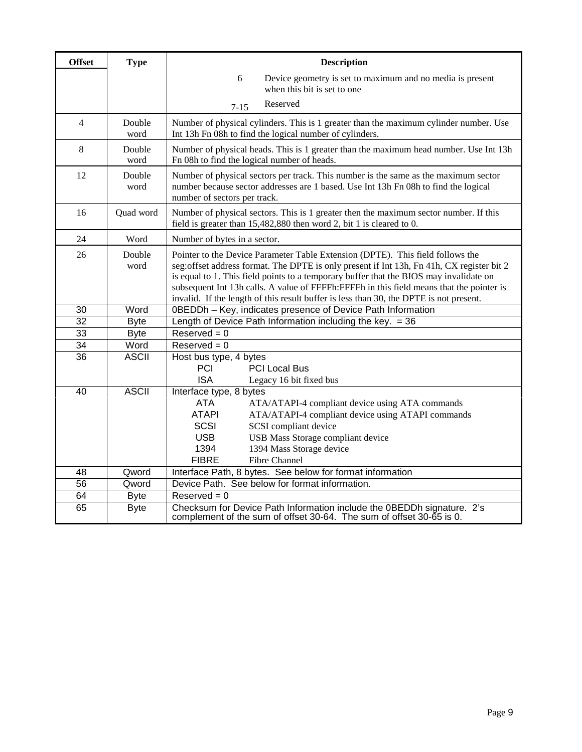| <b>Offset</b>   | <b>Type</b>    | <b>Description</b>                                                                                                                                                                                                                                                                                                                                                                                                                                            |
|-----------------|----------------|---------------------------------------------------------------------------------------------------------------------------------------------------------------------------------------------------------------------------------------------------------------------------------------------------------------------------------------------------------------------------------------------------------------------------------------------------------------|
|                 |                | 6<br>Device geometry is set to maximum and no media is present                                                                                                                                                                                                                                                                                                                                                                                                |
|                 |                | when this bit is set to one                                                                                                                                                                                                                                                                                                                                                                                                                                   |
|                 |                | Reserved<br>$7 - 15$                                                                                                                                                                                                                                                                                                                                                                                                                                          |
| $\overline{4}$  | Double<br>word | Number of physical cylinders. This is 1 greater than the maximum cylinder number. Use<br>Int 13h Fn 08h to find the logical number of cylinders.                                                                                                                                                                                                                                                                                                              |
| 8               | Double<br>word | Number of physical heads. This is 1 greater than the maximum head number. Use Int 13h<br>Fn 08h to find the logical number of heads.                                                                                                                                                                                                                                                                                                                          |
| 12              | Double<br>word | Number of physical sectors per track. This number is the same as the maximum sector<br>number because sector addresses are 1 based. Use Int 13h Fn 08h to find the logical<br>number of sectors per track.                                                                                                                                                                                                                                                    |
| 16              | Quad word      | Number of physical sectors. This is 1 greater then the maximum sector number. If this<br>field is greater than 15,482,880 then word 2, bit 1 is cleared to 0.                                                                                                                                                                                                                                                                                                 |
| 24              | Word           | Number of bytes in a sector.                                                                                                                                                                                                                                                                                                                                                                                                                                  |
| 26              | Double<br>word | Pointer to the Device Parameter Table Extension (DPTE). This field follows the<br>seg: offset address format. The DPTE is only present if Int 13h, Fn 41h, CX register bit 2<br>is equal to 1. This field points to a temporary buffer that the BIOS may invalidate on<br>subsequent Int 13h calls. A value of FFFFh: FFFFh in this field means that the pointer is<br>invalid. If the length of this result buffer is less than 30, the DPTE is not present. |
| 30              | Word           | 0BEDDh - Key, indicates presence of Device Path Information                                                                                                                                                                                                                                                                                                                                                                                                   |
| $\overline{32}$ | <b>Byte</b>    | Length of Device Path Information including the key. $= 36$                                                                                                                                                                                                                                                                                                                                                                                                   |
| 33              | <b>Byte</b>    | $Reserved = 0$                                                                                                                                                                                                                                                                                                                                                                                                                                                |
| 34              | Word           | $Reserved = 0$                                                                                                                                                                                                                                                                                                                                                                                                                                                |
| 36              | <b>ASCII</b>   | Host bus type, 4 bytes<br>PCI<br><b>PCI Local Bus</b><br><b>ISA</b><br>Legacy 16 bit fixed bus                                                                                                                                                                                                                                                                                                                                                                |
| 40              | <b>ASCII</b>   | Interface type, 8 bytes<br><b>ATA</b><br>ATA/ATAPI-4 compliant device using ATA commands<br><b>ATAPI</b><br>ATA/ATAPI-4 compliant device using ATAPI commands<br><b>SCSI</b><br>SCSI compliant device<br><b>USB</b><br>USB Mass Storage compliant device<br>1394<br>1394 Mass Storage device<br><b>FIBRE</b><br>Fibre Channel                                                                                                                                 |
| 48              | Qword          | Interface Path, 8 bytes. See below for format information                                                                                                                                                                                                                                                                                                                                                                                                     |
| 56              | Qword          | Device Path. See below for format information.                                                                                                                                                                                                                                                                                                                                                                                                                |
| 64              | <b>Byte</b>    | $Reserved = 0$                                                                                                                                                                                                                                                                                                                                                                                                                                                |
| 65              | <b>Byte</b>    | Checksum for Device Path Information include the 0BEDDh signature. 2's<br>complement of the sum of offset 30-64. The sum of offset 30-65 is 0.                                                                                                                                                                                                                                                                                                                |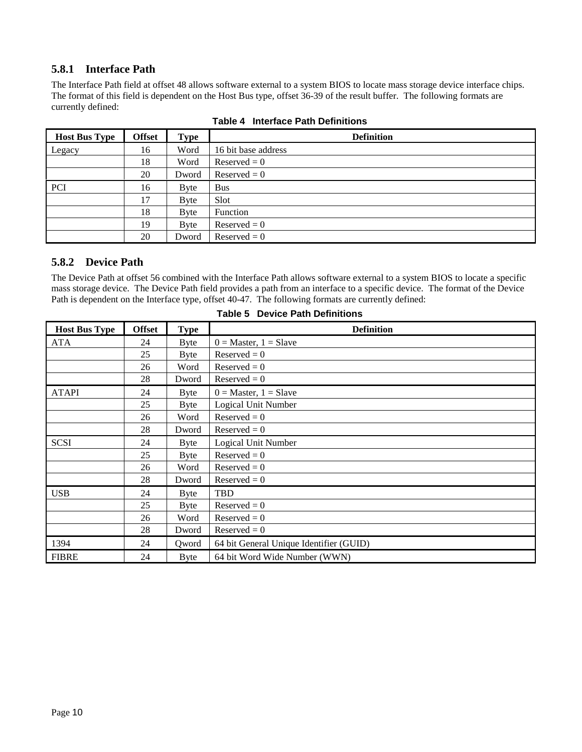## **5.8.1 Interface Path**

The Interface Path field at offset 48 allows software external to a system BIOS to locate mass storage device interface chips. The format of this field is dependent on the Host Bus type, offset 36-39 of the result buffer. The following formats are currently defined:

| <b>Host Bus Type</b> | <b>Offset</b> | <b>Type</b>  | <b>Definition</b>   |
|----------------------|---------------|--------------|---------------------|
| Legacy               | 16            | Word         | 16 bit base address |
|                      | 18            | Word         | $Reserved = 0$      |
|                      | 20            | Dword        | $Reserved = 0$      |
| PCI                  | 16            | Byte         | <b>Bus</b>          |
|                      | 17            | <b>B</b> yte | Slot                |
|                      | 18            | Byte         | Function            |
|                      | 19            | <b>B</b> yte | $Reserved = 0$      |
|                      | 20            | Dword        | $Reserved = 0$      |

**Table 4 Interface Path Definitions**

## **5.8.2 Device Path**

The Device Path at offset 56 combined with the Interface Path allows software external to a system BIOS to locate a specific mass storage device. The Device Path field provides a path from an interface to a specific device. The format of the Device Path is dependent on the Interface type, offset 40-47. The following formats are currently defined:

| <b>Host Bus Type</b> | <b>Offset</b> | <b>Type</b> | <b>Definition</b>                       |
|----------------------|---------------|-------------|-----------------------------------------|
| <b>ATA</b>           | 24            | Byte        | $0 = Master, 1 = Slave$                 |
|                      | 25            | Byte        | $Reserved = 0$                          |
|                      | 26            | Word        | $Reserved = 0$                          |
|                      | 28            | Dword       | $Reserved = 0$                          |
| <b>ATAPI</b>         | 24            | Byte        | $0 = Master, 1 = Slave$                 |
|                      | 25            | Byte        | Logical Unit Number                     |
|                      | 26            | Word        | $Reserved = 0$                          |
|                      | 28            | Dword       | $Reserved = 0$                          |
| <b>SCSI</b>          | 24            | Byte        | Logical Unit Number                     |
|                      | 25            | Byte        | $Reserved = 0$                          |
|                      | 26            | Word        | $Reserved = 0$                          |
|                      | 28            | Dword       | $Reserved = 0$                          |
| <b>USB</b>           | 24            | Byte        | TBD                                     |
|                      | 25            | Byte        | $Reserved = 0$                          |
|                      | 26            | Word        | $Reserved = 0$                          |
|                      | 28            | Dword       | $Reserved = 0$                          |
| 1394                 | 24            | Qword       | 64 bit General Unique Identifier (GUID) |
| <b>FIBRE</b>         | 24            | <b>Byte</b> | 64 bit Word Wide Number (WWN)           |

#### **Table 5 Device Path Definitions**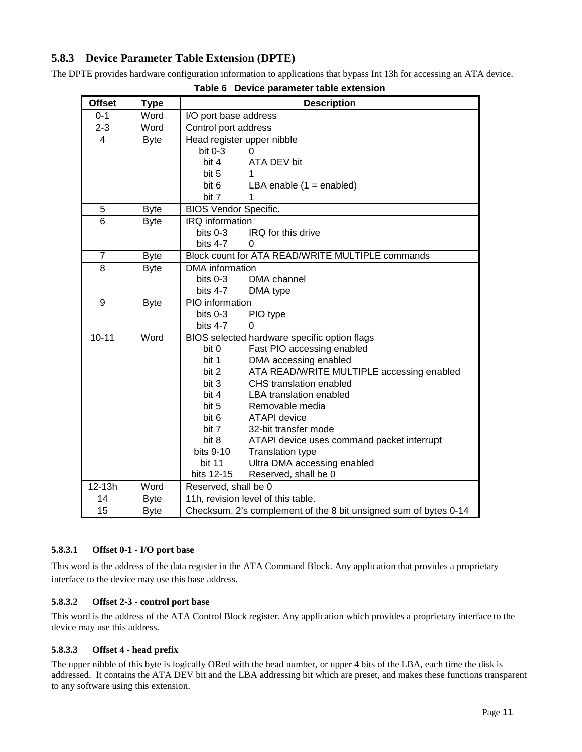## **5.8.3 Device Parameter Table Extension (DPTE)**

The DPTE provides hardware configuration information to applications that bypass Int 13h for accessing an ATA device.

| <b>Offset</b>   | <b>Type</b> | <b>Description</b>                                               |
|-----------------|-------------|------------------------------------------------------------------|
| $0 - 1$         | Word        | I/O port base address                                            |
| $2 - 3$         | Word        | Control port address                                             |
| 4               | <b>Byte</b> | Head register upper nibble                                       |
|                 |             | bit $0-3$<br>0                                                   |
|                 |             | bit 4<br>ATA DEV bit                                             |
|                 |             | bit 5<br>1                                                       |
|                 |             | bit 6<br>LBA enable $(1 =$ enabled)                              |
|                 |             | bit 7<br>1                                                       |
| 5               | <b>Byte</b> | <b>BIOS Vendor Specific.</b>                                     |
| $\overline{6}$  | <b>Byte</b> | IRQ information                                                  |
|                 |             | IRQ for this drive<br>bits $0-3$                                 |
|                 |             | bits 4-7<br>0                                                    |
| $\overline{7}$  | <b>Byte</b> | Block count for ATA READ/WRITE MULTIPLE commands                 |
| 8               | <b>Byte</b> | <b>DMA</b> information                                           |
|                 |             | bits $0-3$<br>DMA channel                                        |
|                 |             | bits 4-7<br>DMA type                                             |
| 9               | <b>Byte</b> | PIO information                                                  |
|                 |             | bits $0-3$<br>PIO type                                           |
|                 |             | bits $4-7$<br>0                                                  |
| $10 - 11$       | Word        | BIOS selected hardware specific option flags                     |
|                 |             | Fast PIO accessing enabled<br>bit 0                              |
|                 |             | bit 1<br>DMA accessing enabled                                   |
|                 |             | ATA READ/WRITE MULTIPLE accessing enabled<br>bit 2               |
|                 |             | bit 3<br>CHS translation enabled                                 |
|                 |             | bit 4<br><b>LBA translation enabled</b>                          |
|                 |             | bit 5<br>Removable media                                         |
|                 |             | bit 6<br><b>ATAPI</b> device                                     |
|                 |             | bit 7<br>32-bit transfer mode                                    |
|                 |             | bit 8<br>ATAPI device uses command packet interrupt              |
|                 |             | bits 9-10<br><b>Translation type</b>                             |
|                 |             | <b>bit 11</b><br>Ultra DMA accessing enabled                     |
| 12-13h          | Word        | bits 12-15<br>Reserved, shall be 0                               |
|                 |             | Reserved, shall be 0                                             |
| 14              | <b>Byte</b> | 11h, revision level of this table.                               |
| $\overline{15}$ | <b>Byte</b> | Checksum, 2's complement of the 8 bit unsigned sum of bytes 0-14 |

| Table 6 Device parameter table extension |  |
|------------------------------------------|--|
|------------------------------------------|--|

#### **5.8.3.1 Offset 0-1 - I/O port base**

This word is the address of the data register in the ATA Command Block. Any application that provides a proprietary interface to the device may use this base address.

#### **5.8.3.2 Offset 2-3 - control port base**

This word is the address of the ATA Control Block register. Any application which provides a proprietary interface to the device may use this address.

### **5.8.3.3 Offset 4 - head prefix**

The upper nibble of this byte is logically ORed with the head number, or upper 4 bits of the LBA, each time the disk is addressed. It contains the ATA DEV bit and the LBA addressing bit which are preset, and makes these functions transparent to any software using this extension.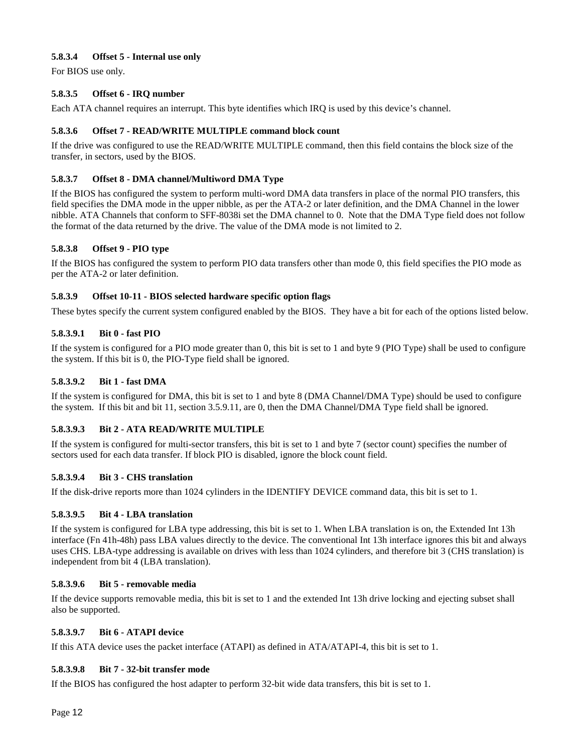#### **5.8.3.4 Offset 5 - Internal use only**

For BIOS use only.

#### **5.8.3.5 Offset 6 - IRQ number**

Each ATA channel requires an interrupt. This byte identifies which IRQ is used by this device's channel.

#### **5.8.3.6 Offset 7 - READ/WRITE MULTIPLE command block count**

If the drive was configured to use the READ/WRITE MULTIPLE command, then this field contains the block size of the transfer, in sectors, used by the BIOS.

#### **5.8.3.7 Offset 8 - DMA channel/Multiword DMA Type**

If the BIOS has configured the system to perform multi-word DMA data transfers in place of the normal PIO transfers, this field specifies the DMA mode in the upper nibble, as per the ATA-2 or later definition, and the DMA Channel in the lower nibble. ATA Channels that conform to SFF-8038i set the DMA channel to 0. Note that the DMA Type field does not follow the format of the data returned by the drive. The value of the DMA mode is not limited to 2.

#### **5.8.3.8 Offset 9 - PIO type**

If the BIOS has configured the system to perform PIO data transfers other than mode 0, this field specifies the PIO mode as per the ATA-2 or later definition.

#### **5.8.3.9 Offset 10-11 - BIOS selected hardware specific option flags**

These bytes specify the current system configured enabled by the BIOS. They have a bit for each of the options listed below.

#### **5.8.3.9.1 Bit 0 - fast PIO**

If the system is configured for a PIO mode greater than 0, this bit is set to 1 and byte 9 (PIO Type) shall be used to configure the system. If this bit is 0, the PIO-Type field shall be ignored.

#### **5.8.3.9.2 Bit 1 - fast DMA**

If the system is configured for DMA, this bit is set to 1 and byte 8 (DMA Channel/DMA Type) should be used to configure the system. If this bit and bit 11, section 3.5.9.11, are 0, then the DMA Channel/DMA Type field shall be ignored.

#### **5.8.3.9.3 Bit 2 - ATA READ/WRITE MULTIPLE**

If the system is configured for multi-sector transfers, this bit is set to 1 and byte 7 (sector count) specifies the number of sectors used for each data transfer. If block PIO is disabled, ignore the block count field.

#### **5.8.3.9.4 Bit 3 - CHS translation**

If the disk-drive reports more than 1024 cylinders in the IDENTIFY DEVICE command data, this bit is set to 1.

#### **5.8.3.9.5 Bit 4 - LBA translation**

If the system is configured for LBA type addressing, this bit is set to 1. When LBA translation is on, the Extended Int 13h interface (Fn 41h-48h) pass LBA values directly to the device. The conventional Int 13h interface ignores this bit and always uses CHS. LBA-type addressing is available on drives with less than 1024 cylinders, and therefore bit 3 (CHS translation) is independent from bit 4 (LBA translation).

#### **5.8.3.9.6 Bit 5 - removable media**

If the device supports removable media, this bit is set to 1 and the extended Int 13h drive locking and ejecting subset shall also be supported.

#### **5.8.3.9.7 Bit 6 - ATAPI device**

If this ATA device uses the packet interface (ATAPI) as defined in ATA/ATAPI-4, this bit is set to 1.

#### **5.8.3.9.8 Bit 7 - 32-bit transfer mode**

If the BIOS has configured the host adapter to perform 32-bit wide data transfers, this bit is set to 1.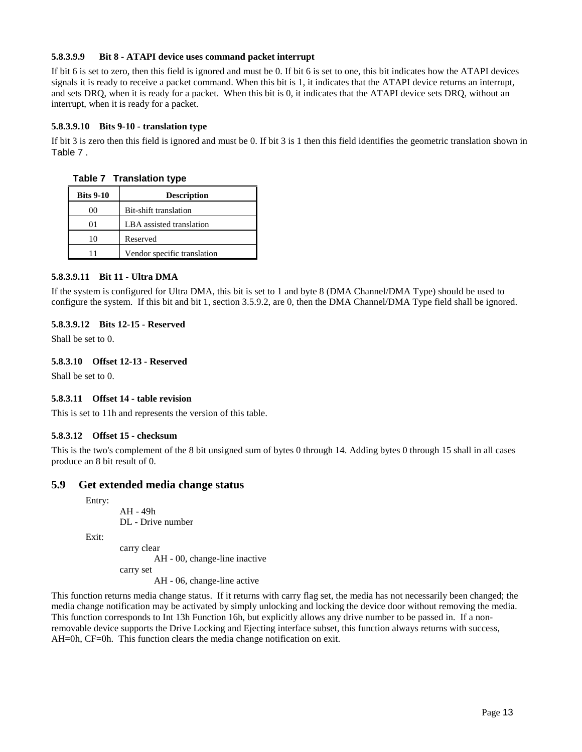#### **5.8.3.9.9 Bit 8 - ATAPI device uses command packet interrupt**

If bit 6 is set to zero, then this field is ignored and must be 0. If bit 6 is set to one, this bit indicates how the ATAPI devices signals it is ready to receive a packet command. When this bit is 1, it indicates that the ATAPI device returns an interrupt, and sets DRQ, when it is ready for a packet. When this bit is 0, it indicates that the ATAPI device sets DRQ, without an interrupt, when it is ready for a packet.

#### **5.8.3.9.10 Bits 9-10 - translation type**

If bit 3 is zero then this field is ignored and must be 0. If bit 3 is 1 then this field identifies the geometric translation shown in Table 7 .

**Table 7 Translation type**

| <b>Bits 9-10</b> | <b>Description</b>          |  |
|------------------|-----------------------------|--|
| 00               | Bit-shift translation       |  |
| 01               | LBA assisted translation    |  |
| 10               | Reserved                    |  |
| 11               | Vendor specific translation |  |

#### **5.8.3.9.11 Bit 11 - Ultra DMA**

If the system is configured for Ultra DMA, this bit is set to 1 and byte 8 (DMA Channel/DMA Type) should be used to configure the system. If this bit and bit 1, section 3.5.9.2, are 0, then the DMA Channel/DMA Type field shall be ignored.

#### **5.8.3.9.12 Bits 12-15 - Reserved**

Shall be set to 0.

#### **5.8.3.10 Offset 12-13 - Reserved**

Shall be set to 0.

#### **5.8.3.11 Offset 14 - table revision**

This is set to 11h and represents the version of this table.

#### **5.8.3.12 Offset 15 - checksum**

This is the two's complement of the 8 bit unsigned sum of bytes 0 through 14. Adding bytes 0 through 15 shall in all cases produce an 8 bit result of 0.

#### **5.9 Get extended media change status**

Entry:

AH - 49h DL - Drive number

Exit:

carry clear

AH - 00, change-line inactive

carry set

AH - 06, change-line active

This function returns media change status. If it returns with carry flag set, the media has not necessarily been changed; the media change notification may be activated by simply unlocking and locking the device door without removing the media. This function corresponds to Int 13h Function 16h, but explicitly allows any drive number to be passed in. If a nonremovable device supports the Drive Locking and Ejecting interface subset, this function always returns with success, AH=0h, CF=0h. This function clears the media change notification on exit.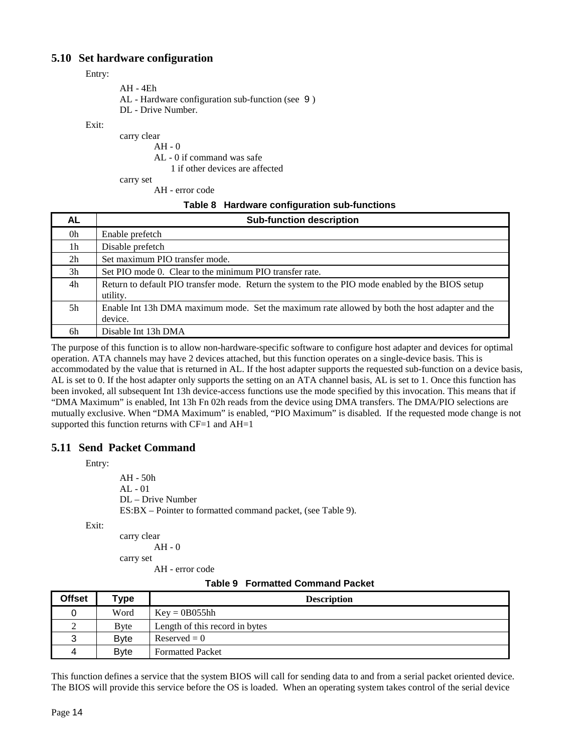### **5.10 Set hardware configuration**

Entry:

| AH - 4Eh                                         |  |
|--------------------------------------------------|--|
| AL - Hardware configuration sub-function (see 9) |  |
| DL - Drive Number.                               |  |

Exit:

carry clear

AH - 0

AL - 0 if command was safe

1 if other devices are affected

carry set

AH - error code

#### **Table 8 Hardware configuration sub-functions**

| AL.            | <b>Sub-function description</b>                                                                              |
|----------------|--------------------------------------------------------------------------------------------------------------|
| 0h             | Enable prefetch                                                                                              |
| 1 <sub>h</sub> | Disable prefetch                                                                                             |
| 2 <sub>h</sub> | Set maximum PIO transfer mode.                                                                               |
| 3h             | Set PIO mode 0. Clear to the minimum PIO transfer rate.                                                      |
| 4h             | Return to default PIO transfer mode. Return the system to the PIO mode enabled by the BIOS setup<br>utility. |
| .5h            | Enable Int 13h DMA maximum mode. Set the maximum rate allowed by both the host adapter and the<br>device.    |
| 6h             | Disable Int 13h DMA                                                                                          |

The purpose of this function is to allow non-hardware-specific software to configure host adapter and devices for optimal operation. ATA channels may have 2 devices attached, but this function operates on a single-device basis. This is accommodated by the value that is returned in AL. If the host adapter supports the requested sub-function on a device basis, AL is set to 0. If the host adapter only supports the setting on an ATA channel basis, AL is set to 1. Once this function has been invoked, all subsequent Int 13h device-access functions use the mode specified by this invocation. This means that if "DMA Maximum" is enabled, Int 13h Fn 02h reads from the device using DMA transfers. The DMA/PIO selections are mutually exclusive. When "DMA Maximum" is enabled, "PIO Maximum" is disabled. If the requested mode change is not supported this function returns with  $CF=1$  and  $AH=1$ 

### **5.11 Send Packet Command**

Entry:

AH - 50h AL - 01 DL – Drive Number ES:BX – Pointer to formatted command packet, (see Table 9).

Exit:

carry clear AH - 0 carry set

AH - error code

| <b>Table 9 Formatted Command Packet</b> |  |
|-----------------------------------------|--|
|                                         |  |

| <b>Offset</b> | 'ype         | <b>Description</b>             |
|---------------|--------------|--------------------------------|
|               | Word         | $Key = 0B055hh$                |
|               | <b>B</b> vte | Length of this record in bytes |
| 3             | <b>Byte</b>  | $Reserved = 0$                 |
| Δ             | <b>B</b> vte | <b>Formatted Packet</b>        |

This function defines a service that the system BIOS will call for sending data to and from a serial packet oriented device. The BIOS will provide this service before the OS is loaded. When an operating system takes control of the serial device